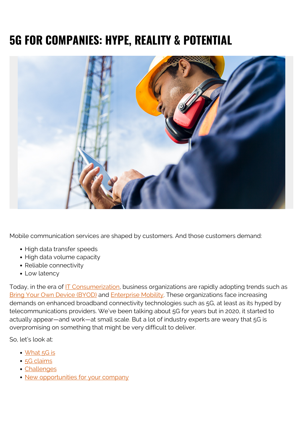# **5G FOR COMPANIES: HYPE, REALITY & POTENTIAL**



Mobile communication services are shaped by customers. And those customers demand:

- High data transfer speeds
- High data volume capacity
- Reliable connectivity
- Low latency

Today, in the era of [IT Consumerization](https://blogs.bmc.com/blogs/consumerization-of-it/), business organizations are rapidly adopting trends such as [Bring Your Own Device \(BYOD\)](https://blogs.bmc.com/blogs/byod-policies/) and [Enterprise Mobility](https://blogs.bmc.com/blogs/enterprise-mobility/). These organizations face increasing demands on enhanced broadband connectivity technologies such as 5G, at least as its hyped by telecommunications providers. We've been talking about 5G for years but in 2020, it started to actually appear—and work—at small scale. But a lot of industry experts are weary that 5G is overpromising on something that might be very difficult to deliver.

So, let's look at:

- [What 5G is](#page--1-0)
- [5G claims](#page--1-0)
- [Challenges](#page--1-0)
- [New opportunities for your company](#page--1-0)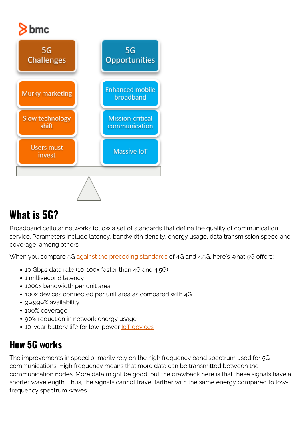# $\geqslant$  bmc



# **What is 5G?**

Broadband cellular networks follow a set of standards that define the quality of communication service. Parameters include latency, bandwidth density, energy usage, data transmission speed and coverage, among others.

When you compare 5G [against the preceding standards](https://www.thalesgroup.com/en/markets/digital-identity-and-security/mobile/inspired/5G) of 4G and 4.5G, here's what 5G offers:

- 10 Gbps data rate (10-100x faster than 4G and 4.5G)
- 1 millisecond latency
- 1000x bandwidth per unit area
- 100x devices connected per unit area as compared with 4G
- 99.999% availability
- 100% coverage
- 90% reduction in network energy usage
- 10-year battery life for low-power loT devices

#### **How 5G works**

The improvements in speed primarily rely on the high frequency band spectrum used for 5G communications. High frequency means that more data can be transmitted between the communication nodes. More data might be good, but the drawback here is that these signals have a shorter wavelength. Thus, the signals cannot travel farther with the same energy compared to lowfrequency spectrum waves.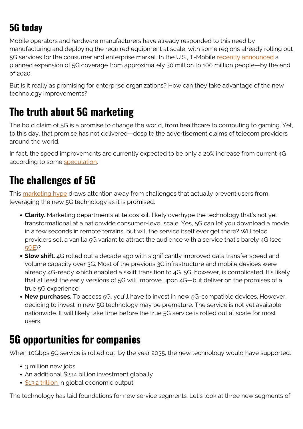## **5G today**

Mobile operators and hardware manufacturers have already responded to this need by manufacturing and deploying the required equipment at scale, with some regions already rolling out 5G services for the consumer and enterprise market. In the U.S., T-Mobile [recently announced](https://www.theverge.com/2020/10/28/21538604/t-mobile-5g-network-midband-coverage-expanded-cities) a planned expansion of 5G coverage from approximately 30 million to 100 million people—by the end of 2020.

But is it really as promising for enterprise organizations? How can they take advantage of the new technology improvements?

## **The truth about 5G marketing**

The bold claim of 5G is a promise to change the world, from healthcare to computing to gaming. Yet, to this day, that promise has not delivered—despite the advertisement claims of telecom providers around the world.

In fact, the speed improvements are currently expected to be only a 20% increase from current 4G according to some [speculation](https://www.marketplace.org/2019/12/05/5g-could-change-the-world-5g-is-also-marketing-hype/).

## **The challenges of 5G**

This [marketing hype](https://blogs.bmc.com/blogs/gartner-hype-cycle/) draws attention away from challenges that actually prevent users from leveraging the new 5G technology as it is promised:

- **Clarity.** Marketing departments at telcos will likely overhype the technology that's not yet transformational at a nationwide consumer-level scale. Yes, 5G can let you download a movie in a few seconds in remote terrains, but will the service itself ever get there? Will telco providers sell a vanilla 5G variant to attract the audience with a service that's barely 4G (see [5GE](https://arstechnica.com/tech-policy/2020/05/att-still-refuses-to-kill-misleading-5ge-network-icon-for-4g-service/))?
- **Slow shift.** 4G rolled out a decade ago with significantly improved data transfer speed and volume capacity over 3G. Most of the previous 3G infrastructure and mobile devices were already 4G-ready which enabled a swift transition to 4G. 5G, however, is complicated. It's likely that at least the early versions of 5G will improve upon 4G—but deliver on the promises of a true 5G experience.
- **New purchases.** To access 5G, you'll have to invest in new 5G-compatible devices. However, deciding to invest in new 5G technology may be premature. The service is not yet available nationwide. It will likely take time before the true 5G service is rolled out at scale for most users.

### **5G opportunities for companies**

When 10Gbps 5G service is rolled out, by the year 2035, the new technology would have supported:

- 3 million new jobs
- An additional \$234 billion investment globally
- **[\\$13.2 trillion](https://www.qualcomm.com/news/releases/2019/11/07/5g-economy-generate-132-trillion-sales-enablement-2035#:~:text=The%20global%205G%20value%20chain,strengthen%20the%205G%20technology%20base.) in global economic output**

The technology has laid foundations for new service segments. Let's look at three new segments of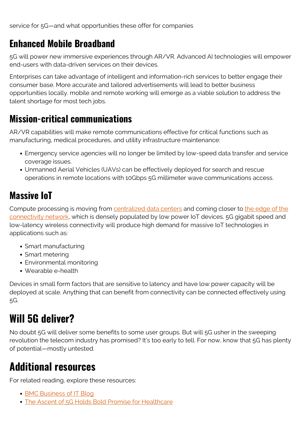#### **Enhanced Mobile Broadband**

5G will power new immersive experiences through AR/VR. Advanced AI technologies will empower end-users with data-driven services on their devices.

Enterprises can take advantage of intelligent and information-rich services to better engage their consumer base. More accurate and tailored advertisements will lead to better business opportunities locally. mobile and remote working will emerge as a viable solution to address the talent shortage for most tech jobs.

#### **Mission-critical communications**

AR/VR capabilities will make remote communications effective for critical functions such as manufacturing, medical procedures, and utility infrastructure maintenance:

- Emergency service agencies will no longer be limited by low-speed data transfer and service coverage issues.
- Unmanned Aerial Vehicles (UAVs) can be effectively deployed for search and rescue operations in remote locations with 10Gbps 5G millimeter wave communications access.

#### **Massive IoT**

Compute processing is moving from [centralized data centers](https://blogs.bmc.com/blogs/data-center-tiers-important/) and coming closer to [the edge of the](https://blogs.bmc.com/blogs/intelligent-edge/) [connectivity network,](https://blogs.bmc.com/blogs/intelligent-edge/) which is densely populated by low power IoT devices. 5G gigabit speed and low-latency wireless connectivity will produce high demand for massive IoT technologies in applications such as:

- Smart manufacturing
- Smart metering
- Environmental monitoring
- Wearable e-health

Devices in small form factors that are sensitive to latency and have low power capacity will be deployed at scale. Anything that can benefit from connectivity can be connected effectively using 5G.

## **Will 5G deliver?**

No doubt 5G will deliver some benefits to some user groups. But will 5G usher in the sweeping revolution the telecom industry has promised? It's too early to tell. For now, know that 5G has plenty of potential—mostly untested.

## **Additional resources**

For related reading, explore these resources:

- [BMC Business of IT Blog](https://blogs.bmc.com/blogs/categories/business-of-it/)
- [The Ascent of 5G Holds Bold Promise for Healthcare](https://blogs.bmc.com/blogs/5g-in-healthcare/)